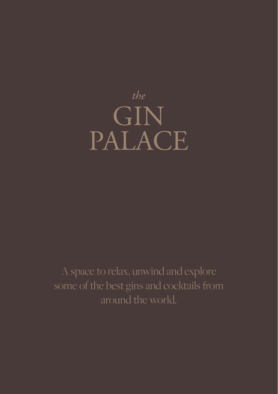

A space to relax, unwind and explore some of the best gins and cocktails from around the world.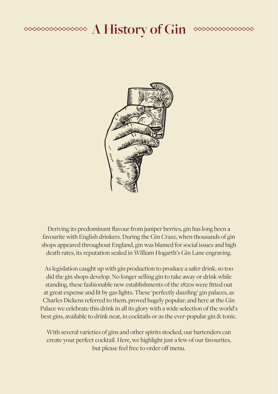#### **<u>A History of Gin</u>**  $\begin{picture}(180,10) \put(0,0){\vector(1,0){10}} \put(0,0){\vector(1,0){10}} \put(0,0){\vector(1,0){10}} \put(0,0){\vector(1,0){10}} \put(0,0){\vector(1,0){10}} \put(0,0){\vector(1,0){10}} \put(0,0){\vector(1,0){10}} \put(0,0){\vector(1,0){10}} \put(0,0){\vector(1,0){10}} \put(0,0){\vector(1,0){10}} \put(0,0){\vector(1,0){10}} \put(0,0){\vector(1,0){10}} \put(0$



Deriving its predominant flavour from juniper berries, gin has long been a favourite with English drinkers. During the Gin Craze, when thousands of gin shops appeared throughout England, gin was blamed for social issues and high death rates, its reputation sealed in William Hogarth's Gin Lane engraving.

As legislation caught up with gin production to produce a safer drink, so too did the gin shops develop. No longer selling gin to take away or drink while standing, these fashionable new establishments of the 1820s were fitted out at great expense and lit by gas lights. These 'perfectly dazzling' gin palaces, as Charles Dickens referred to them, proved hugely popular; and here at the Gin Palace we celebrate this drink in all its glory with a wide selection of the world's best gins, available to drink neat, in cocktails or as the ever-popular gin & tonic.

With several varieties of gins and other spirits stocked, our bartenders can create your perfect cocktail. Here, we highlight just a few of our favourites, but please feel free to order off menu.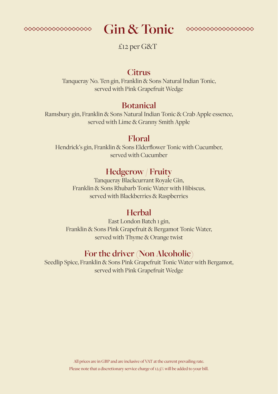

# Gin & Tonic **executives**



£12 per G&T

#### **Citrus**

Tanqueray No. Ten gin, Franklin & Sons Natural Indian Tonic, served with Pink Grapefruit Wedge

#### **Botanical**

Ramsbury gin, Franklin & Sons Natural Indian Tonic & Crab Apple essence, served with Lime & Granny Smith Apple

#### **Floral**

Hendrick's gin, Franklin & Sons Elderflower Tonic with Cucumber, served with Cucumber

#### **Hedgerow / Fruity**

Tanqueray Blackcurrant Royale Gin, Franklin & Sons Rhubarb Tonic Water with Hibiscus, served with Blackberries & Raspberries

#### **Herbal**

East London Batch 1 gin, Franklin & Sons Pink Grapefruit & Bergamot Tonic Water, served with Thyme & Orange twist

#### **For the driver (Non Alcoholic)**

Seedlip Spice, Franklin & Sons Pink Grapefruit Tonic Water with Bergamot, served with Pink Grapefruit Wedge

> All prices are in GBP and are inclusive of VAT at the current prevailing rate. Please note that a discretionary service charge of 12.5% will be added to your bill.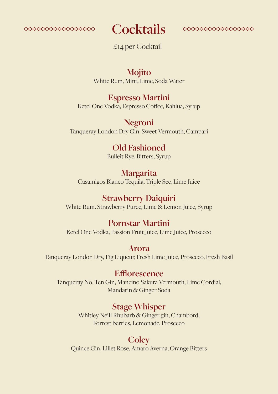



£14 per Cocktail

#### **Mojito** White Rum, Mint, Lime, Soda Water

#### **Espresso Martini**

Ketel One Vodka, Espresso Coffee, Kahlua, Syrup

**Negroni** Tanqueray London Dry Gin, Sweet Vermouth, Campari

# **Old Fashioned**

Bulleit Rye, Bitters, Syrup

#### **Margarita**

Casamigos Blanco Tequila, Triple Sec, Lime Juice

#### **Strawberry Daiquiri**

White Rum, Strawberry Puree, Lime & Lemon Juice, Syrup

#### **Pornstar Martini**

Ketel One Vodka, Passion Fruit Juice, Lime Juice, Prosecco

#### **Arora**

Tanqueray London Dry, Fig Liqueur, Fresh Lime Juice, Prosecco, Fresh Basil

#### **Efflorescence**

Tanqueray No. Ten Gin, Mancino Sakura Vermouth, Lime Cordial, Mandarin & Ginger Soda

#### **Stage Whisper**

Whitley Neill Rhubarb & Ginger gin, Chambord, Forrest berries, Lemonade, Prosecco

#### **Coley**

Quince Gin, Lillet Rose, Amaro Averna, Orange Bitters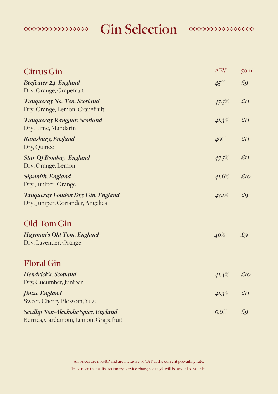

**Gin Selection Conservation** 



| <b>Citrus Gin</b>                                                                   | <b>ABV</b> | 50ml         |
|-------------------------------------------------------------------------------------|------------|--------------|
| Beefeater 24, England<br>Dry, Orange, Grapefruit                                    | 45%        | £9           |
| Tanqueray No. Ten, Scotland<br>Dry, Orange, Lemon, Grapefruit                       | 47.3%      | £II          |
| <b>Tanqueray Rangpur, Scotland</b><br>Dry, Lime, Mandarin                           | $41.3\%$   | $\pounds$ II |
| Ramsbury, England<br>Dry, Quince                                                    | $40\%$     | £II          |
| <b>Star Of Bombay, England</b><br>Dry, Orange, Lemon                                | 47.5%      | £II          |
| <b>Sipsmith, England</b><br>Dry, Juniper, Orange                                    | 41.6%      | £10          |
| Tanqueray London Dry Gin, England<br>Dry, Juniper, Coriander, Angelica              | 43.1%      | £9           |
| Old Tom Gin                                                                         |            |              |
| Hayman's Old Tom, England<br>Dry, Lavender, Orange                                  | 40%        | £9           |
| <b>Floral Gin</b>                                                                   |            |              |
| Hendrick's, Scotland<br>Dry, Cucumber, Juniper                                      | 41.4%      | £10          |
| Jinzu, England<br>Sweet, Cherry Blossom, Yuzu                                       | $41.3\%$   | £II          |
| <b>Seedlip Non-Alcoholic Spice, England</b><br>Berries, Cardamom, Lemon, Grapefruit | $0.0\%$    | £9           |

All prices are in GBP and are inclusive of VAT at the current prevailing rate. Please note that a discretionary service charge of 12.5% will be added to your bill.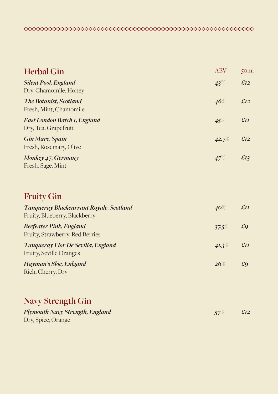| <b>Herbal Gin</b>                                       | <b>ABV</b> | 50ml         |
|---------------------------------------------------------|------------|--------------|
| <b>Silent Pool, England</b><br>Dry, Chamomile, Honey    | 43%        | £12          |
| <b>The Botanist, Scotland</b><br>Fresh, Mint, Chamomile | 46%        | £12          |
| East London Batch 1, England<br>Dry, Tea, Grapefruit    | 45%        | $\pounds$ II |
| <b>Gin Mare, Spain</b><br>Fresh, Rosemary, Olive        | 42.7%      | £12          |
| Monkey 47, Germany<br>Fresh, Sage, Mint                 | 47%        | £13          |

### **Fruity Gin**

| <b>Tanqueray Blackcurrant Royale, Scotland</b><br>Fruity, Blueberry, Blackberry | $40\%$   | £II          |
|---------------------------------------------------------------------------------|----------|--------------|
| <b>Beefeater Pink, England</b><br>Fruity, Strawberry, Red Berries               | 37.5%    | $\pounds$ 9  |
| Tanqueray Flor De Sevilla, England<br><b>Fruity, Seville Oranges</b>            | $41.3\%$ | $\pounds$ II |
| Hayman's Sloe, Enlgand<br>Rich, Cherry, Dry                                     | 26%      | £q           |

### **Navy Strength Gin**

| Plymouth Navy Strength, England | $\pm 12$ |
|---------------------------------|----------|
| Dry, Spice, Orange              |          |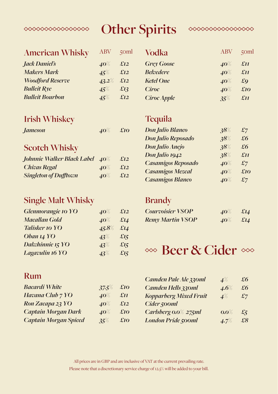# **Other Spirits**



#### **American Whisky**

 $\begin{picture}(180,10) \put(0,0){\vector(1,0){10}} \put(10,0){\vector(1,0){10}} \put(10,0){\vector(1,0){10}} \put(10,0){\vector(1,0){10}} \put(10,0){\vector(1,0){10}} \put(10,0){\vector(1,0){10}} \put(10,0){\vector(1,0){10}} \put(10,0){\vector(1,0){10}} \put(10,0){\vector(1,0){10}} \put(10,0){\vector(1,0){10}} \put(10,0){\vector(1,0){10}} \put(10,0){\vector($ 

| Jack Daniel's           | $40\%$       | £12 |
|-------------------------|--------------|-----|
| <b>Makers Mark</b>      | $45\%$       | £12 |
| <b>Woodford Reserve</b> | $43.2\%$ £12 |     |
| <b>Bulleit Rye</b>      | 45%          | £13 |
| <b>Bulleit Bourbon</b>  | $45\%$       | £12 |
|                         |              |     |

| ABV    | $5$ oml |
|--------|---------|
| $40\%$ | £12     |
| $45\%$ | £12     |
| 43.2%  | £12     |
| 45%    | £13     |
| 45%    | £12     |

| <b>Vodka</b>       | ABV    | $5$ cm                 |
|--------------------|--------|------------------------|
| <b>Grey Goose</b>  | $40\%$ | $\pounds$ II           |
| <b>Belvedere</b>   | $40\%$ | $\pounds$ II           |
| <b>Ketel One</b>   | $40\%$ | $\pounds$ <sub>Q</sub> |
| Ciroc              | $40\%$ | £10                    |
| <b>Ciroc Apple</b> | 35%    | £II                    |

#### **Irish Whiskey**

| Jameson | $40\%$ | $\pounds$ 10 |
|---------|--------|--------------|
|---------|--------|--------------|

#### **Scotch Whisky**

| Johnnie Walker Black Label 40% |        | £12          |
|--------------------------------|--------|--------------|
| <b>Chivas Regal</b>            | $40\%$ | £12          |
| <b>Singleton of Dufftown</b>   | $40\%$ | $\pounds$ 12 |

#### **Single Malt Whisky**

| Glenmorangie 10 YO   | $40\%$ | £12    |
|----------------------|--------|--------|
| <b>Macallan Gold</b> | $40\%$ | £14    |
| Talisker 10 YO       | 45.8%  | £14    |
| Oban 14 YO           | $43\%$ | £15    |
| Dalwhinnie 15 YO     | $43\%$ | £ $15$ |
| Lagavulin 16 YO      | 43%    | £ $15$ |

#### **Tequila**

| <b>Don Julio Blanco</b> | 38%    | $\pounds$ 7  |
|-------------------------|--------|--------------|
| Don Julio Reposado      | 38%    | $\pounds 6$  |
| Don Julio Anejo         | 38%    | $\pounds 6$  |
| Don Julio 1942          | 38%    | $\pounds$ II |
| Casamigos Reposado      | $40\%$ | $\pounds$ 7  |
| <b>Casamigos Mezcal</b> | $40\%$ | £10          |
| Casamigos Blanco        | $40\%$ | $\pounds$ 7  |

#### **Brandy**

| <b>Courvoisier VSOP</b> | $40\%$ £14             |  |
|-------------------------|------------------------|--|
| <b>Remy Martin VSOP</b> | $40\%$ $\ddot{z}$ $14$ |  |

# <sup>∞</sup> Beer & Cider ∞

### **Rum**

| <b>Bacardi White</b>         | 37.5%  | £10          |
|------------------------------|--------|--------------|
| Havana Club 7 YO             | $40\%$ | $\pounds$ II |
| Ron Zacapa 23 YO             | $40\%$ | £12          |
| <b>Captain Morgan Dark</b>   | $40\%$ | £10          |
| <b>Captain Morgan Spiced</b> | 35%    | £10          |

| Camden Pale Ale 330ml         | $4\%$   | £6          |
|-------------------------------|---------|-------------|
| Camden Hells 330ml            | $4.6\%$ | $\pounds 6$ |
| <b>Kopparberg Mixed Fruit</b> | $4\%$   | $\pounds$ 7 |
| Cider <sub>500ml</sub>        |         |             |
| Carlsberg 0.0% 275ml          | $0.0\%$ | $\ddot{x}$  |
| <b>London Pride 500ml</b>     | 4.7%    | £8          |

All prices are in GBP and are inclusive of VAT at the current prevailing rate. Please note that a discretionary service charge of 12.5% will be added to your bill.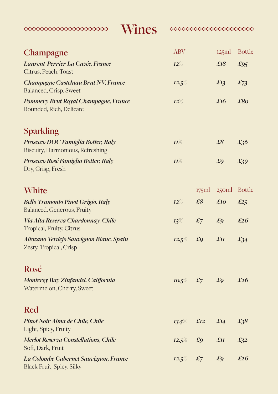| Wines<br>◇◇◇◇◇◇◇◇◇◇◇◇◇◇◇◇◇◇◇◇◇◇                                           | ◇◇◇◇◇◇◇◇◇◇◇◇◇◇◇◇◇◇◇◇◇ |                |             |               |
|---------------------------------------------------------------------------|-----------------------|----------------|-------------|---------------|
| Champagne                                                                 | <b>ABV</b>            |                | 125ml       | <b>Bottle</b> |
| Laurent-Perrier La Cuvée, France<br>Citrus, Peach, Toast                  | $12\%$                |                | £18         | £95           |
| Champagne Castelnau Brut NV, France<br>Balanced, Crisp, Sweet             | $12.5\%$              |                | £13         | $\pounds$ 73  |
| Pommery Brut Royal Champagne, France<br>Rounded, Rich, Delicate           | $12\%$                |                | £16         | £80           |
| <b>Sparkling</b>                                                          |                       |                |             |               |
| Prosecco DOC Famiglia Botter, Italy<br>Biscuity, Harmonious, Refreshing   | $\mathbf{H}^{\%}$     |                | £8          | £36           |
| Prosecco Rosé Famiglia Botter, Italy<br>Dry, Crisp, Fresh                 | $\mathbf{H}^{\%}$     |                | $\pounds$ 9 | $\pounds$ 39  |
| White                                                                     |                       | 175ml          | 250ml       | <b>Bottle</b> |
| <b>Bello Tramonto Pinot Grigio, Italy</b><br>Balanced, Generous, Fruity   | $12\%$                | $\pounds8$     | £10         | £25           |
| Via Alta Reserva Chardonnay, Chile<br>Tropical, Fruity, Citrus            | $13\%$                | $\mathfrak{L}$ | $\pounds$ 9 | £26           |
| Altozano Verdejo Sauvignon Blanc, Spain<br>Zesty, Tropical, Crisp         | 12.5%                 | $\pounds$ 9    | £II         | £34           |
| Rosé                                                                      |                       |                |             |               |
| Monterey Bay Zinfandel, California<br>Watermelon, Cherry, Sweet           | 10.5%                 | $\mathfrak{L}$ | £9          | £26           |
| <b>Red</b>                                                                |                       |                |             |               |
| Pinot Noir Alma de Chile, Chile<br>Light, Spicy, Fruity                   | $13.5\%$              | £12            | £I4         | £38           |
| <b>Merlot Reserva Constellations, Chile</b><br>Soft, Dark, Fruit          | 12.5%                 | £9             | £II         | $\pounds$ 32  |
| La Colombe Cabernet Sauvignon, France<br><b>Black Fruit, Spicy, Silky</b> | 12.5%                 | $\pounds$ 7    | £9          | £26           |